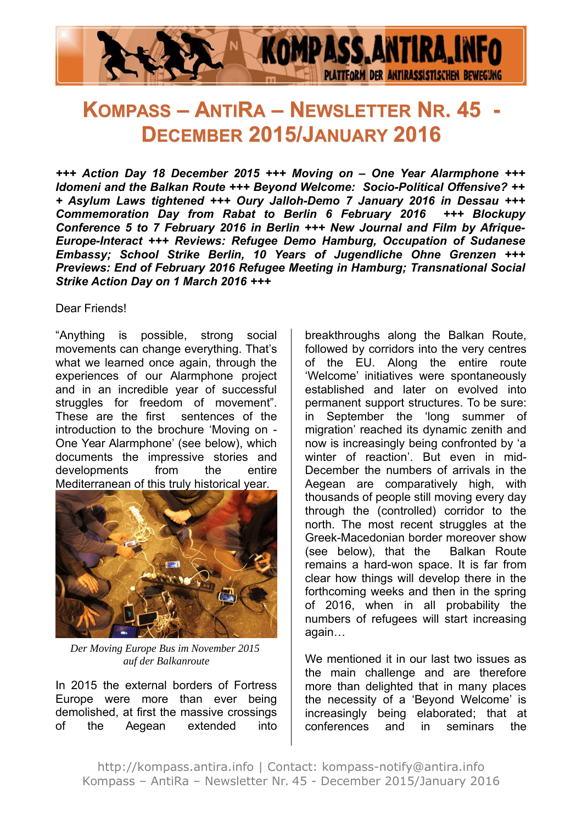

# **KOMPASS – ANTIRA – NEWSLETTER NR. 45 - DECEMBER 2015/JANUARY 2016**

*+++ Action Day 18 December 2015 +++ Moving on – One Year Alarmphone +++ Idomeni and the Balkan Route +++ Beyond Welcome: Socio-Political Offensive? ++ + Asylum Laws tightened +++ Oury Jalloh-Demo 7 January 2016 in Dessau +++ Commemoration Day from Rabat to Berlin 6 February 2016 +++ Blockupy Conference 5 to 7 February 2016 in Berlin +++ New Journal and Film by Afrique-Europe-Interact +++ Reviews: Refugee Demo Hamburg, Occupation of Sudanese Embassy; School Strike Berlin, 10 Years of Jugendliche Ohne Grenzen +++ Previews: End of February 2016 Refugee Meeting in Hamburg; Transnational Social Strike Action Day on 1 March 2016 +++*

#### Dear Friends!

"Anything is possible, strong social movements can change everything. That's what we learned once again, through the experiences of our Alarmphone project and in an incredible year of successful struggles for freedom of movement". These are the first sentences of the introduction to the brochure 'Moving on - One Year Alarmphone' (see below), which documents the impressive stories and developments from the entire Mediterranean of this truly historical year.



*Der Moving Europe Bus im November 2015 auf der Balkanroute*

In 2015 the external borders of Fortress Europe were more than ever being demolished, at first the massive crossings of the Aegean extended into breakthroughs along the Balkan Route, followed by corridors into the very centres of the EU. Along the entire route 'Welcome' initiatives were spontaneously established and later on evolved into permanent support structures. To be sure: in September the 'long summer of migration' reached its dynamic zenith and now is increasingly being confronted by 'a winter of reaction'. But even in mid-December the numbers of arrivals in the Aegean are comparatively high, with thousands of people still moving every day through the (controlled) corridor to the north. The most recent struggles at the Greek-Macedonian border moreover show (see below), that the Balkan Route remains a hard-won space. It is far from clear how things will develop there in the forthcoming weeks and then in the spring of 2016, when in all probability the numbers of refugees will start increasing again…

We mentioned it in our last two issues as the main challenge and are therefore more than delighted that in many places the necessity of a 'Beyond Welcome' is increasingly being elaborated; that at conferences and in seminars the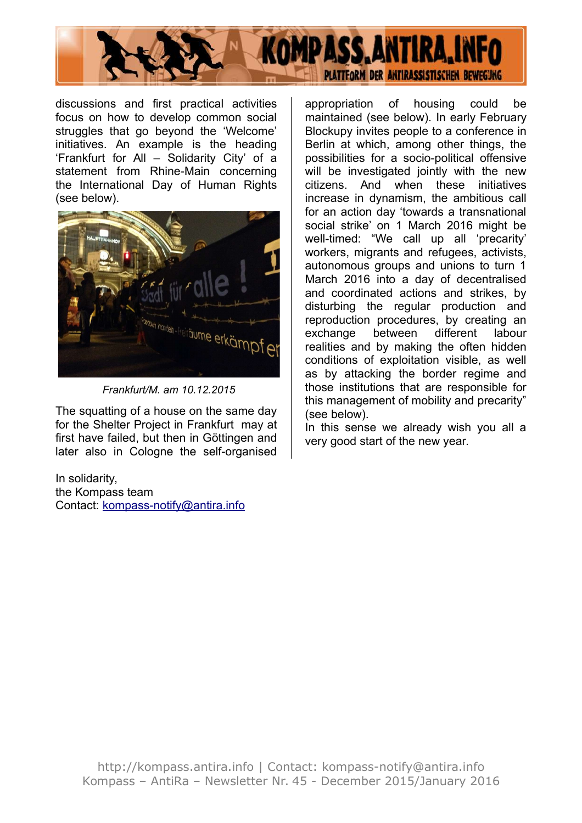

discussions and first practical activities focus on how to develop common social struggles that go beyond the 'Welcome' initiatives. An example is the heading 'Frankfurt for All – Solidarity City' of a statement from Rhine-Main concerning the International Day of Human Rights (see below).



*Frankfurt/M. am 10.12.2015*

The squatting of a house on the same day for the Shelter Project in Frankfurt may at first have failed, but then in Göttingen and later also in Cologne the self-organised

In solidarity, the Kompass team Contact: [kompass-notify@antira.inf](mailto:kompass-notify@antira.info)o appropriation of housing could be maintained (see below). In early February Blockupy invites people to a conference in Berlin at which, among other things, the possibilities for a socio-political offensive will be investigated jointly with the new citizens. And when these initiatives increase in dynamism, the ambitious call for an action day 'towards a transnational social strike' on 1 March 2016 might be well-timed: "We call up all 'precarity' workers, migrants and refugees, activists, autonomous groups and unions to turn 1 March 2016 into a day of decentralised and coordinated actions and strikes, by disturbing the regular production and reproduction procedures, by creating an exchange between different labour realities and by making the often hidden conditions of exploitation visible, as well as by attacking the border regime and those institutions that are responsible for this management of mobility and precarity" (see below).

In this sense we already wish you all a very good start of the new year.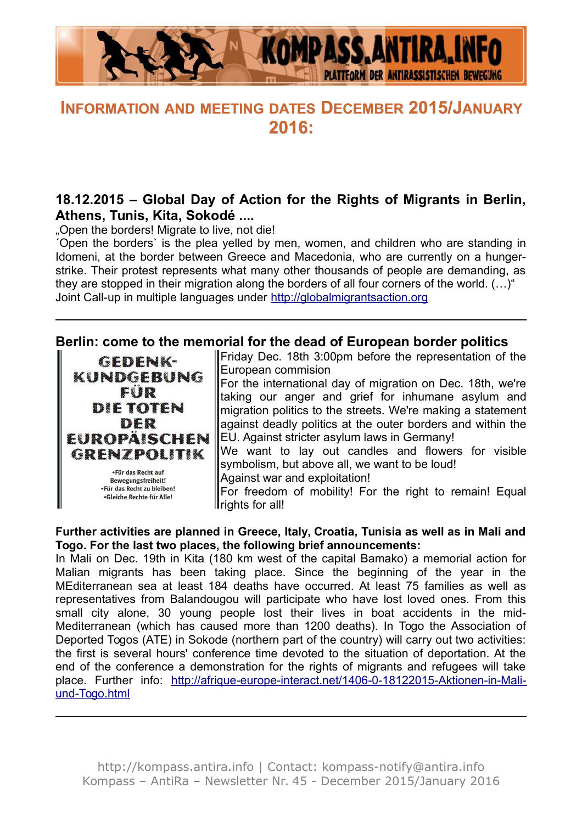

# **INFORMATION AND MEETING DATES DECEMBER 2015/JANUARY 2016:**

# **18.12.2015 – Global Day of Action for the Rights of Migrants in Berlin, Athens, Tunis, Kita, Sokodé ....**

. Open the borders! Migrate to live, not die!

´Open the borders` is the plea yelled by men, women, and children who are standing in Idomeni, at the border between Greece and Macedonia, who are currently on a hungerstrike. Their protest represents what many other thousands of people are demanding, as they are stopped in their migration along the borders of all four corners of the world. (…)" Joint Call-up in multiple languages under [http://globalmigrantsaction.org](http://globalmigrantsaction.org/)

#### **Berlin: come to the memorial for the dead of European border politics**

GEDENK-**KUNDGEBUNG** FIR **DIE TOTEN** DER **EUROPAISCHEN GRENZPOLITIK** .Für das Recht auf **Bewegungsfreiheit!** .Für das Recht zu bleiben!

.Gleiche Rechte für Alle!

Friday Dec. 18th 3:00pm before the representation of the European commision

For the international day of migration on Dec. 18th, we're taking our anger and grief for inhumane asylum and migration politics to the streets. We're making a statement against deadly politics at the outer borders and within the EU. Against stricter asylum laws in Germany!

We want to lay out candles and flowers for visible symbolism, but above all, we want to be loud!

Against war and exploitation!

For freedom of mobility! For the right to remain! Equal Il rights for all!

#### **Further activities are planned in Greece, Italy, Croatia, Tunisia as well as in Mali and Togo. For the last two places, the following brief announcements:**

In Mali on Dec. 19th in Kita (180 km west of the capital Bamako) a memorial action for Malian migrants has been taking place. Since the beginning of the year in the MEditerranean sea at least 184 deaths have occurred. At least 75 families as well as representatives from Balandougou will participate who have lost loved ones. From this small city alone, 30 young people lost their lives in boat accidents in the mid-Mediterranean (which has caused more than 1200 deaths). In Togo the Association of Deported Togos (ATE) in Sokode (northern part of the country) will carry out two activities: the first is several hours' conference time devoted to the situation of deportation. At the end of the conference a demonstration for the rights of migrants and refugees will take place. Further info: [http://afrique-europe-interact.net/1406-0-18122015-Aktionen-in-Mali](http://afrique-europe-interact.net/1406-0-18122015-Aktionen-in-Mali-und-Togo.html)[und-Togo.html](http://afrique-europe-interact.net/1406-0-18122015-Aktionen-in-Mali-und-Togo.html)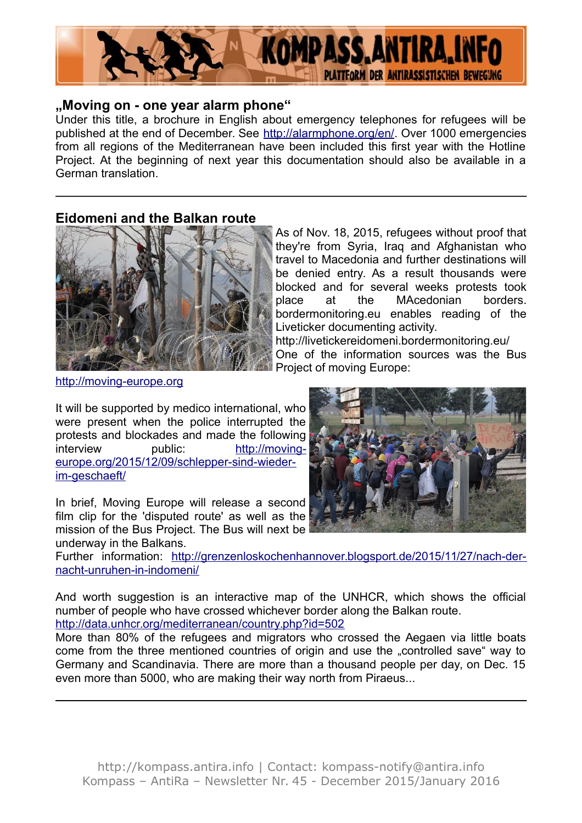

#### **"Moving on - one year alarm phone"**

Under this title, a brochure in English about emergency telephones for refugees will be published at the end of December. See [http://alarmphone.org/en/.](http://alarmphone.org/en/) Over 1000 emergencies from all regions of the Mediterranean have been included this first year with the Hotline Project. At the beginning of next year this documentation should also be available in a German translation.

#### **Eidomeni and the Balkan route**



As of Nov. 18, 2015, refugees without proof that they're from Syria, Iraq and Afghanistan who travel to Macedonia and further destinations will be denied entry. As a result thousands were blocked and for several weeks protests took place at the MAcedonian borders. bordermonitoring.eu enables reading of the Liveticker documenting activity.

http://livetickereidomeni.bordermonitoring.eu/ One of the information sources was the Bus Project of moving Europe:

[http://moving-europe.org](http://moving-europe.org/)

It will be supported by medico international, who were present when the police interrupted the protests and blockades and made the following interview public: [http://moving](http://moving-europe.org/2015/12/09/schlepper-sind-wieder-im-geschaeft/)[europe.org/2015/12/09/schlepper-sind-wieder](http://moving-europe.org/2015/12/09/schlepper-sind-wieder-im-geschaeft/)[im-geschaeft/](http://moving-europe.org/2015/12/09/schlepper-sind-wieder-im-geschaeft/)

In brief, Moving Europe will release a second film clip for the 'disputed route' as well as the mission of the Bus Project. The Bus will next be underway in the Balkans.

Further information: [http://grenzenloskochenhannover.blogsport.de/2015/11/27/nach-der](http://grenzenloskochenhannover.blogsport.de/2015/11/27/nach-der-nacht-unruhen-in-indomeni/)[nacht-unruhen-in-indomeni/](http://grenzenloskochenhannover.blogsport.de/2015/11/27/nach-der-nacht-unruhen-in-indomeni/)

And worth suggestion is an interactive map of the UNHCR, which shows the official number of people who have crossed whichever border along the Balkan route. <http://data.unhcr.org/mediterranean/country.php?id=502>

More than 80% of the refugees and migrators who crossed the Aegaen via little boats come from the three mentioned countries of origin and use the "controlled save" way to Germany and Scandinavia. There are more than a thousand people per day, on Dec. 15 even more than 5000, who are making their way north from Piraeus...

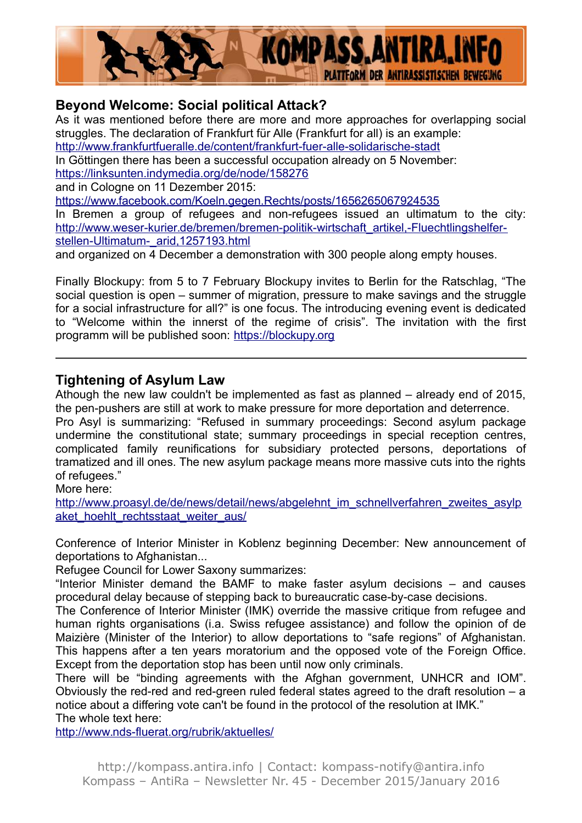

# **Beyond Welcome: Social political Attack?**

As it was mentioned before there are more and more approaches for overlapping social struggles. The declaration of Frankfurt für Alle (Frankfurt for all) is an example: <http://www.frankfurtfueralle.de/content/frankfurt-fuer-alle-solidarische-stadt> In Göttingen there has been a successful occupation already on 5 November: <https://linksunten.indymedia.org/de/node/158276> and in Cologne on 11 Dezember 2015: <https://www.facebook.com/Koeln.gegen.Rechts/posts/1656265067924535> In Bremen a group of refugees and non-refugees issued an ultimatum to the city: [http://www.weser-kurier.de/bremen/bremen-politik-wirtschaft\\_artikel,-Fluechtlingshelfer](http://www.weser-kurier.de/bremen/bremen-politik-wirtschaft_artikel,-Fluechtlingshelfer-stellen-Ultimatum-_arid,1257193.html)[stellen-Ultimatum-\\_arid,1257193.html](http://www.weser-kurier.de/bremen/bremen-politik-wirtschaft_artikel,-Fluechtlingshelfer-stellen-Ultimatum-_arid,1257193.html) and organized on 4 December a demonstration with 300 people along empty houses.

Finally Blockupy: from 5 to 7 February Blockupy invites to Berlin for the Ratschlag, "The social question is open – summer of migration, pressure to make savings and the struggle for a social infrastructure for all?" is one focus. The introducing evening event is dedicated to "Welcome within the innerst of the regime of crisis". The invitation with the first programm will be published soon: [https://blockupy.org](https://blockupy.org/)

# **Tightening of Asylum Law**

Athough the new law couldn't be implemented as fast as planned – already end of 2015, the pen-pushers are still at work to make pressure for more deportation and deterrence. Pro Asyl is summarizing: "Refused in summary proceedings: Second asylum package undermine the constitutional state; summary proceedings in special reception centres, complicated family reunifications for subsidiary protected persons, deportations of tramatized and ill ones. The new asylum package means more massive cuts into the rights of refugees."

More here:

[http://www.proasyl.de/de/news/detail/news/abgelehnt\\_im\\_schnellverfahren\\_zweites\\_asylp](http://www.proasyl.de/de/news/detail/news/abgelehnt_im_schnellverfahren_zweites_asylpaket_hoehlt_rechtsstaat_weiter_aus/) [aket\\_hoehlt\\_rechtsstaat\\_weiter\\_aus/](http://www.proasyl.de/de/news/detail/news/abgelehnt_im_schnellverfahren_zweites_asylpaket_hoehlt_rechtsstaat_weiter_aus/)

Conference of Interior Minister in Koblenz beginning December: New announcement of deportations to Afghanistan...

Refugee Council for Lower Saxony summarizes:

"Interior Minister demand the BAMF to make faster asylum decisions – and causes procedural delay because of stepping back to bureaucratic case-by-case decisions.

The Conference of Interior Minister (IMK) override the massive critique from refugee and human rights organisations (i.a. Swiss refugee assistance) and follow the opinion of de Maizière (Minister of the Interior) to allow deportations to "safe regions" of Afghanistan. This happens after a ten years moratorium and the opposed vote of the Foreign Office. Except from the deportation stop has been until now only criminals.

There will be "binding agreements with the Afghan government, UNHCR and IOM". Obviously the red-red and red-green ruled federal states agreed to the draft resolution – a notice about a differing vote can't be found in the protocol of the resolution at IMK." The whole text here:

<http://www.nds-fluerat.org/rubrik/aktuelles/>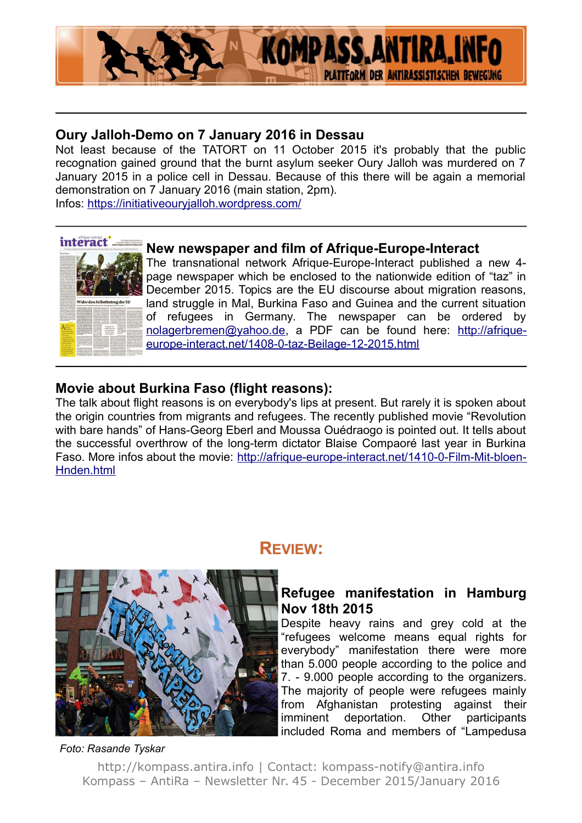

# **Oury Jalloh-Demo on 7 January 2016 in Dessau**

Not least because of the TATORT on 11 October 2015 it's probably that the public recognation gained ground that the burnt asylum seeker Oury Jalloh was murdered on 7 January 2015 in a police cell in Dessau. Because of this there will be again a memorial demonstration on 7 January 2016 (main station, 2pm).

Infos:<https://initiativeouryjalloh.wordpress.com/>

# interact.

# **New newspaper and film of Afrique-Europe-Interact**

The transnational network Afrique-Europe-Interact published a new 4 page newspaper which be enclosed to the nationwide edition of "taz" in December 2015. Topics are the EU discourse about migration reasons, land struggle in Mal, Burkina Faso and Guinea and the current situation of refugees in Germany. The newspaper can be ordered by [nolagerbremen@yahoo.de,](mailto:nolagerbremen@yahoo.de) a PDF can be found here: [http://afrique](http://afrique-europe-interact.net/1408-0-taz-Beilage-12-2015.html)[europe-interact.net/1408-0-taz-Beilage-12-2015.html](http://afrique-europe-interact.net/1408-0-taz-Beilage-12-2015.html)

# **Movie about Burkina Faso (flight reasons):**

The talk about flight reasons is on everybody's lips at present. But rarely it is spoken about the origin countries from migrants and refugees. The recently published movie "Revolution with bare hands" of Hans-Georg Eberl and Moussa Ouédraogo is pointed out. It tells about the successful overthrow of the long-term dictator Blaise Compaoré last year in Burkina Faso. More infos about the movie: [http://afrique-europe-interact.net/1410-0-Film-Mit-bloen-](http://afrique-europe-interact.net/1410-0-Film-Mit-bloen-Hnden.html)[Hnden.html](http://afrique-europe-interact.net/1410-0-Film-Mit-bloen-Hnden.html)



# **REVIEW:**

# **Refugee manifestation in Hamburg Nov 18th 2015**

Despite heavy rains and grey cold at the "refugees welcome means equal rights for everybody" manifestation there were more than 5.000 people according to the police and 7. - 9.000 people according to the organizers. The majority of people were refugees mainly from Afghanistan protesting against their imminent deportation. Other participants included Roma and members of "Lampedusa

#### *Foto: Rasande Tyskar*

http://kompass.antira.info | Contact: kompass-notify@antira.info Kompass – AntiRa – Newsletter Nr. 45 - December 2015/January 2016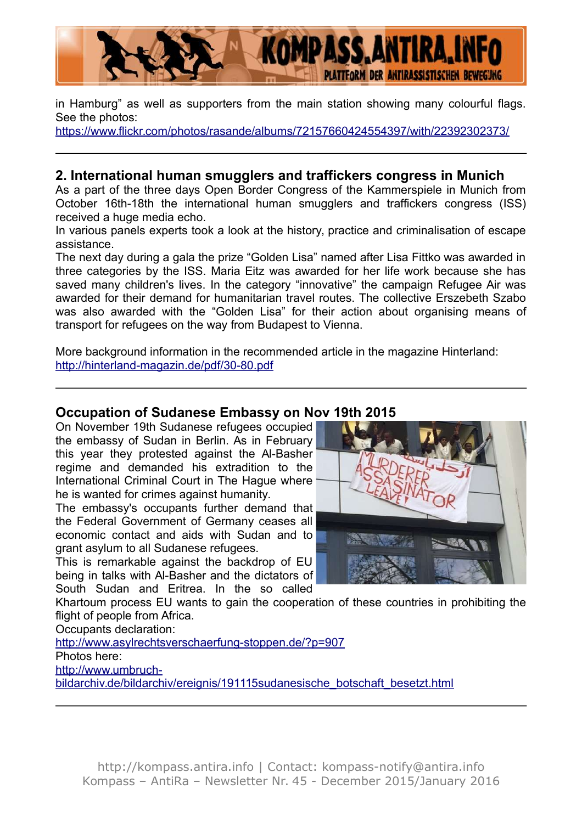

in Hamburg" as well as supporters from the main station showing many colourful flags. See the photos:

<https://www.flickr.com/photos/rasande/albums/72157660424554397/with/22392302373/>

# **2. International human smugglers and traffickers congress in Munich**

As a part of the three days Open Border Congress of the Kammerspiele in Munich from October 16th-18th the international human smugglers and traffickers congress (ISS) received a huge media echo.

In various panels experts took a look at the history, practice and criminalisation of escape assistance.

The next day during a gala the prize "Golden Lisa" named after Lisa Fittko was awarded in three categories by the ISS. Maria Eitz was awarded for her life work because she has saved many children's lives. In the category "innovative" the campaign Refugee Air was awarded for their demand for humanitarian travel routes. The collective Erszebeth Szabo was also awarded with the "Golden Lisa" for their action about organising means of transport for refugees on the way from Budapest to Vienna.

More background information in the recommended article in the magazine Hinterland: <http://hinterland-magazin.de/pdf/30-80.pdf>

### **Occupation of Sudanese Embassy on Nov 19th 2015**

On November 19th Sudanese refugees occupied the embassy of Sudan in Berlin. As in February this year they protested against the Al-Basher regime and demanded his extradition to the International Criminal Court in The Hague where he is wanted for crimes against humanity.

The embassy's occupants further demand that the Federal Government of Germany ceases all economic contact and aids with Sudan and to grant asylum to all Sudanese refugees.

This is remarkable against the backdrop of EU being in talks with Al-Basher and the dictators of South Sudan and Eritrea. In the so called



Khartoum process EU wants to gain the cooperation of these countries in prohibiting the flight of people from Africa.

Occupants declaration:

<http://www.asylrechtsverschaerfung-stoppen.de/?p=907>

Photos here:

[http://www.umbruch-](http://www.umbruch-bildarchiv.de/bildarchiv/ereignis/191115sudanesische_botschaft_besetzt.html)

[bildarchiv.de/bildarchiv/ereignis/191115sudanesische\\_botschaft\\_besetzt.html](http://www.umbruch-bildarchiv.de/bildarchiv/ereignis/191115sudanesische_botschaft_besetzt.html)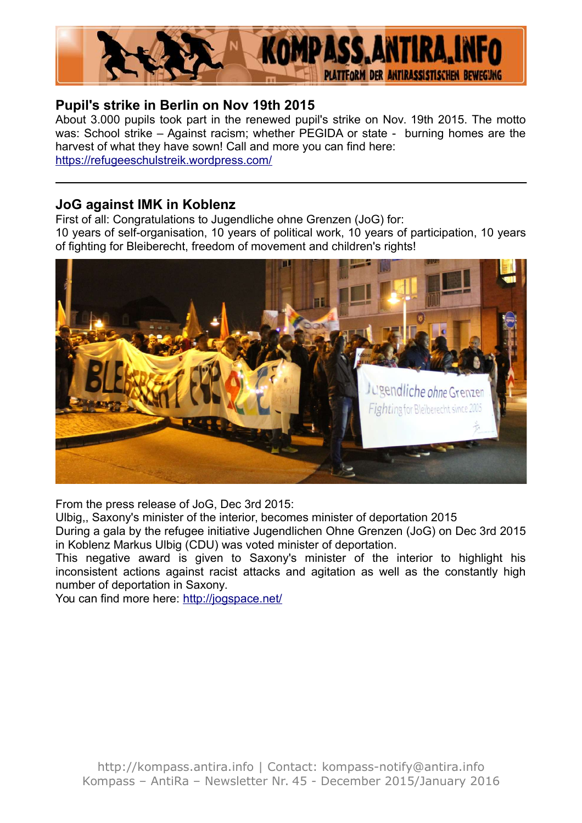

# **Pupil's strike in Berlin on Nov 19th 2015**

About 3.000 pupils took part in the renewed pupil's strike on Nov. 19th 2015. The motto was: School strike – Against racism; whether PEGIDA or state - burning homes are the harvest of what they have sown! Call and more you can find here: <https://refugeeschulstreik.wordpress.com/>

# **JoG against IMK in Koblenz**

First of all: Congratulations to Jugendliche ohne Grenzen (JoG) for:

10 years of self-organisation, 10 years of political work, 10 years of participation, 10 years of fighting for Bleiberecht, freedom of movement and children's rights!



From the press release of JoG, Dec 3rd 2015:

Ulbig,, Saxony's minister of the interior, becomes minister of deportation 2015

During a gala by the refugee initiative Jugendlichen Ohne Grenzen (JoG) on Dec 3rd 2015 in Koblenz Markus Ulbig (CDU) was voted minister of deportation.

This negative award is given to Saxony's minister of the interior to highlight his inconsistent actions against racist attacks and agitation as well as the constantly high number of deportation in Saxony.

You can find more here:<http://jogspace.net/>